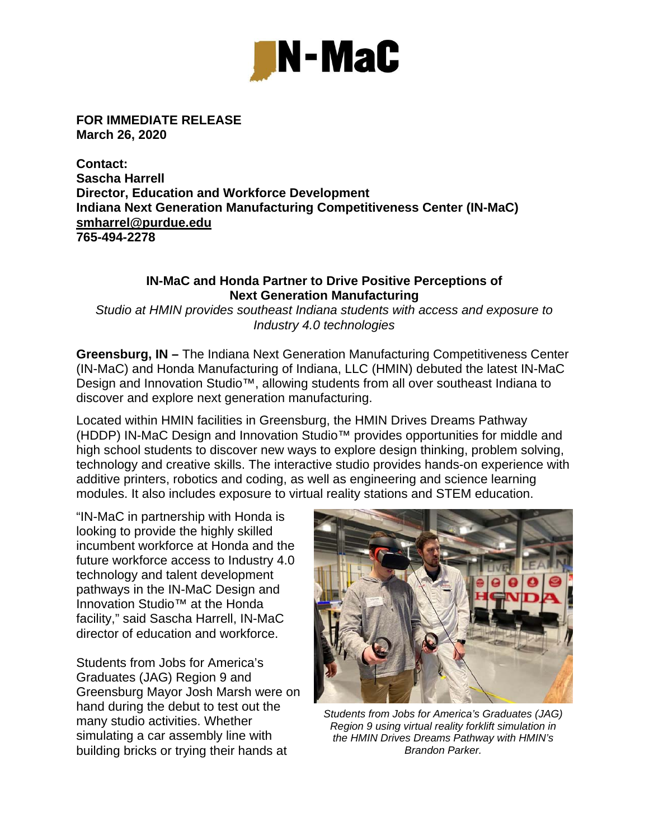

**FOR IMMEDIATE RELEASE March 26, 2020** 

**Contact: Sascha Harrell Director, Education and Workforce Development Indiana Next Generation Manufacturing Competitiveness Center (IN-MaC) smharrel@purdue.edu 765-494-2278** 

## **IN-MaC and Honda Partner to Drive Positive Perceptions of Next Generation Manufacturing**

*Studio at HMIN provides southeast Indiana students with access and exposure to Industry 4.0 technologies* 

**Greensburg, IN –** The Indiana Next Generation Manufacturing Competitiveness Center (IN-MaC) and Honda Manufacturing of Indiana, LLC (HMIN) debuted the latest IN-MaC Design and Innovation Studio<sup>™</sup>, allowing students from all over southeast Indiana to discover and explore next generation manufacturing.

Located within HMIN facilities in Greensburg, the HMIN Drives Dreams Pathway (HDDP) IN-MaC Design and Innovation Studio™ provides opportunities for middle and high school students to discover new ways to explore design thinking, problem solving, technology and creative skills. The interactive studio provides hands-on experience with additive printers, robotics and coding, as well as engineering and science learning modules. It also includes exposure to virtual reality stations and STEM education.

"IN-MaC in partnership with Honda is looking to provide the highly skilled incumbent workforce at Honda and the future workforce access to Industry 4.0 technology and talent development pathways in the IN-MaC Design and Innovation Studio™ at the Honda facility," said Sascha Harrell, IN-MaC director of education and workforce.

Students from Jobs for America's Graduates (JAG) Region 9 and Greensburg Mayor Josh Marsh were on hand during the debut to test out the many studio activities. Whether simulating a car assembly line with building bricks or trying their hands at



*Students from Jobs for America's Graduates (JAG) Region 9 using virtual reality forklift simulation in the HMIN Drives Dreams Pathway with HMIN's Brandon Parker.*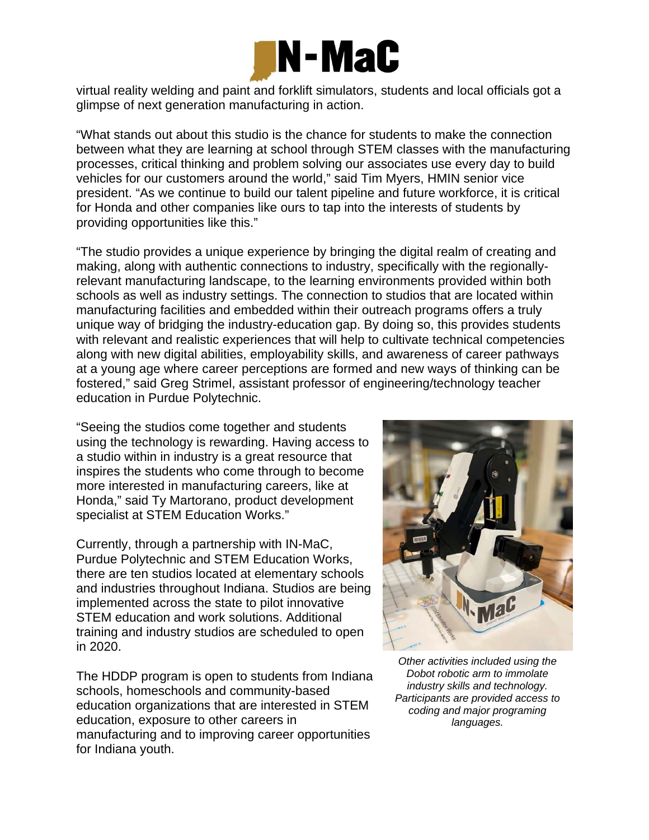

virtual reality welding and paint and forklift simulators, students and local officials got a glimpse of next generation manufacturing in action.

"What stands out about this studio is the chance for students to make the connection between what they are learning at school through STEM classes with the manufacturing processes, critical thinking and problem solving our associates use every day to build vehicles for our customers around the world," said Tim Myers, HMIN senior vice president. "As we continue to build our talent pipeline and future workforce, it is critical for Honda and other companies like ours to tap into the interests of students by providing opportunities like this."

"The studio provides a unique experience by bringing the digital realm of creating and making, along with authentic connections to industry, specifically with the regionallyrelevant manufacturing landscape, to the learning environments provided within both schools as well as industry settings. The connection to studios that are located within manufacturing facilities and embedded within their outreach programs offers a truly unique way of bridging the industry-education gap. By doing so, this provides students with relevant and realistic experiences that will help to cultivate technical competencies along with new digital abilities, employability skills, and awareness of career pathways at a young age where career perceptions are formed and new ways of thinking can be fostered," said Greg Strimel, assistant professor of engineering/technology teacher education in Purdue Polytechnic.

"Seeing the studios come together and students using the technology is rewarding. Having access to a studio within in industry is a great resource that inspires the students who come through to become more interested in manufacturing careers, like at Honda," said Ty Martorano, product development specialist at STEM Education Works."

Currently, through a partnership with IN-MaC, Purdue Polytechnic and STEM Education Works, there are ten studios located at elementary schools and industries throughout Indiana. Studios are being implemented across the state to pilot innovative STEM education and work solutions. Additional training and industry studios are scheduled to open in 2020.

The HDDP program is open to students from Indiana schools, homeschools and community-based education organizations that are interested in STEM education, exposure to other careers in manufacturing and to improving career opportunities for Indiana youth.



*Other activities included using the Dobot robotic arm to immolate industry skills and technology. Participants are provided access to coding and major programing languages.*